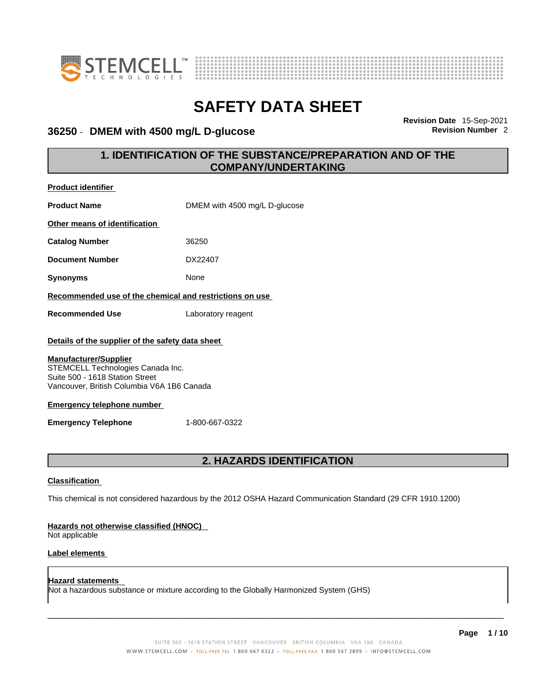



### 36250 - DMEM with 4500 mg/L D-glucose

**Revision Date** 15-Sep-2021

### **1. IDENTIFICATION OF THE SUBSTANCE/PREPARATION AND OF THE COMPANY/UNDERTAKING**

| <b>Product identifier</b>                                                                                                                                                                                                                                                                   |                               |  |
|---------------------------------------------------------------------------------------------------------------------------------------------------------------------------------------------------------------------------------------------------------------------------------------------|-------------------------------|--|
| <b>Product Name</b>                                                                                                                                                                                                                                                                         | DMEM with 4500 mg/L D-glucose |  |
| Other means of identification                                                                                                                                                                                                                                                               |                               |  |
| <b>Catalog Number</b>                                                                                                                                                                                                                                                                       | 36250                         |  |
| <b>Document Number</b>                                                                                                                                                                                                                                                                      | DX22407                       |  |
| <b>Synonyms</b>                                                                                                                                                                                                                                                                             | None                          |  |
| Recommended use of the chemical and restrictions on use                                                                                                                                                                                                                                     |                               |  |
| <b>Recommended Use</b>                                                                                                                                                                                                                                                                      | Laboratory reagent            |  |
| Details of the supplier of the safety data sheet<br><b>Manufacturer/Supplier</b><br>STEMCELL Technologies Canada Inc.<br>Suite 500 - 1618 Station Street<br>Vancouver, British Columbia V6A 1B6 Canada<br><b>Emergency telephone number</b><br>1-800-667-0322<br><b>Emergency Telephone</b> |                               |  |
| <b>2. HAZARDS IDENTIFICATION</b>                                                                                                                                                                                                                                                            |                               |  |
| <b>Classification</b>                                                                                                                                                                                                                                                                       |                               |  |
| This chemical is not considered hazardous by the 2012 OSHA Hazard Communication Standard (29 CFR 1910.1200)                                                                                                                                                                                 |                               |  |
| Hazards not otherwise classified (HNOC)<br>Not applicable                                                                                                                                                                                                                                   |                               |  |
| <b>Label elements</b>                                                                                                                                                                                                                                                                       |                               |  |

**Hazard statements**  Not a hazardous substance or mixture according to the Globally Harmonized System (GHS)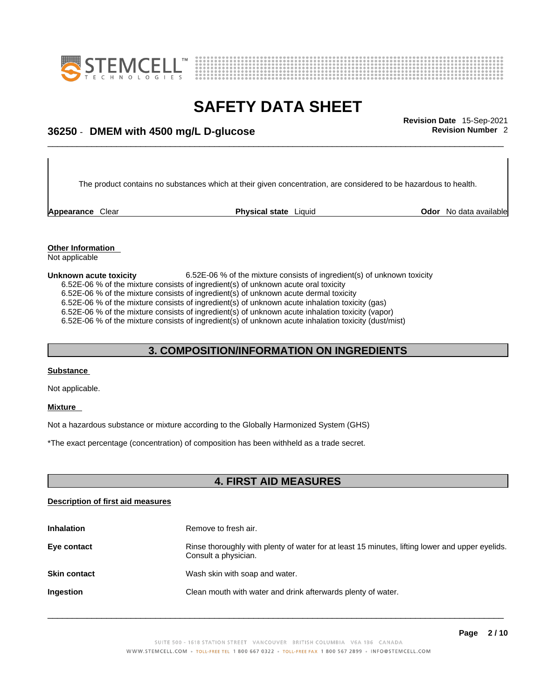



## \_\_\_\_\_\_\_\_\_\_\_\_\_\_\_\_\_\_\_\_\_\_\_\_\_\_\_\_\_\_\_\_\_\_\_\_\_\_\_\_\_\_\_\_\_\_\_\_\_\_\_\_\_\_\_\_\_\_\_\_\_\_\_\_\_\_\_\_\_\_\_\_\_\_\_\_\_\_\_\_\_\_\_\_\_\_\_\_\_\_\_\_\_ **Revision Date** 15-Sep-2021 **36250** - **DMEM with 4500 mg/L D-glucose Revision Number** 2

The product contains no substances which at their given concentration, are considered to be hazardous to health.

**Appearance** Clear **Physical state** Liquid

**Odor** No data available

**Other Information**  Not applicable

**Unknown acute toxicity** 6.52E-06 % of the mixtureconsists of ingredient(s) of unknown toxicity 6.52E-06 % of the mixture consists of ingredient(s) of unknown acute oral toxicity  $6.52E-06$  % of the mixture consists of ingredient(s) of unknown acute dermal toxicity 6.52E-06 % of the mixture consists of ingredient(s) of unknown acute inhalation toxicity (gas) 6.52E-06 % of the mixture consists of ingredient(s) ofunknown acute inhalation toxicity (vapor) 6.52E-06 % of the mixture consists of ingredient(s) of unknown acute inhalation toxicity (dust/mist)

### **3. COMPOSITION/INFORMATION ON INGREDIENTS**

### **Substance**

Not applicable.

### **Mixture**

Not a hazardous substance or mixture according to the Globally Harmonized System (GHS)

\*The exact percentage (concentration) of composition has been withheld as a trade secret.

### **4. FIRST AID MEASURES**

### **Description of first aid measures**

| <b>Inhalation</b>   | Remove to fresh air.                                                                                                    |
|---------------------|-------------------------------------------------------------------------------------------------------------------------|
| Eye contact         | Rinse thoroughly with plenty of water for at least 15 minutes, lifting lower and upper eyelids.<br>Consult a physician. |
| <b>Skin contact</b> | Wash skin with soap and water.                                                                                          |
| <b>Ingestion</b>    | Clean mouth with water and drink afterwards plenty of water.                                                            |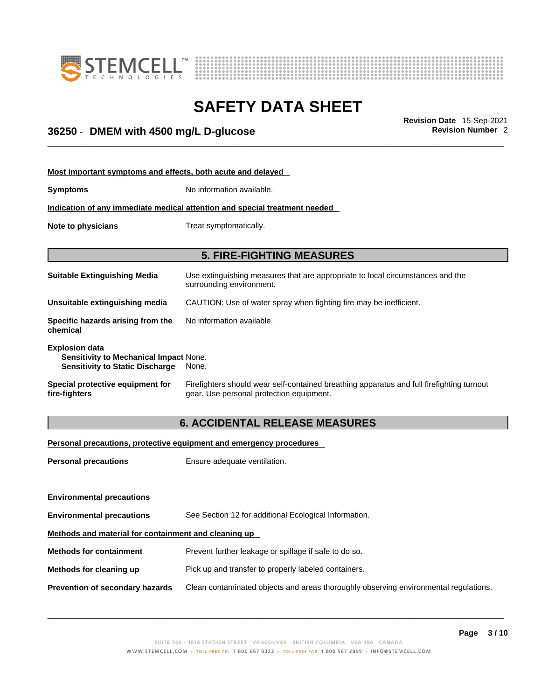



## \_\_\_\_\_\_\_\_\_\_\_\_\_\_\_\_\_\_\_\_\_\_\_\_\_\_\_\_\_\_\_\_\_\_\_\_\_\_\_\_\_\_\_\_\_\_\_\_\_\_\_\_\_\_\_\_\_\_\_\_\_\_\_\_\_\_\_\_\_\_\_\_\_\_\_\_\_\_\_\_\_\_\_\_\_\_\_\_\_\_\_\_\_ **Revision Date** 15-Sep-2021 **36250** - **DMEM with 4500 mg/L D-glucose Revision Number** 2

| Most important symptoms and effects, both acute and delayed                                                      |                                                                                                                                       |  |
|------------------------------------------------------------------------------------------------------------------|---------------------------------------------------------------------------------------------------------------------------------------|--|
| <b>Symptoms</b>                                                                                                  | No information available.                                                                                                             |  |
|                                                                                                                  | Indication of any immediate medical attention and special treatment needed                                                            |  |
| Note to physicians                                                                                               | Treat symptomatically.                                                                                                                |  |
|                                                                                                                  | <b>5. FIRE-FIGHTING MEASURES</b>                                                                                                      |  |
| <b>Suitable Extinguishing Media</b>                                                                              | Use extinguishing measures that are appropriate to local circumstances and the<br>surrounding environment.                            |  |
| Unsuitable extinguishing media                                                                                   | CAUTION: Use of water spray when fighting fire may be inefficient.                                                                    |  |
| Specific hazards arising from the<br>chemical                                                                    | No information available.                                                                                                             |  |
| <b>Explosion data</b><br><b>Sensitivity to Mechanical Impact None.</b><br><b>Sensitivity to Static Discharge</b> | None.                                                                                                                                 |  |
| Special protective equipment for<br>fire-fighters                                                                | Firefighters should wear self-contained breathing apparatus and full firefighting turnout<br>gear. Use personal protection equipment. |  |

### **6. ACCIDENTAL RELEASE MEASURES**

### **Personal precautions, protective equipment and emergency procedures**

| Ensure adequate ventilation.                                                         |  |  |
|--------------------------------------------------------------------------------------|--|--|
|                                                                                      |  |  |
|                                                                                      |  |  |
| See Section 12 for additional Ecological Information.                                |  |  |
| Methods and material for containment and cleaning up                                 |  |  |
| Prevent further leakage or spillage if safe to do so.                                |  |  |
| Pick up and transfer to properly labeled containers.                                 |  |  |
| Clean contaminated objects and areas thoroughly observing environmental regulations. |  |  |
|                                                                                      |  |  |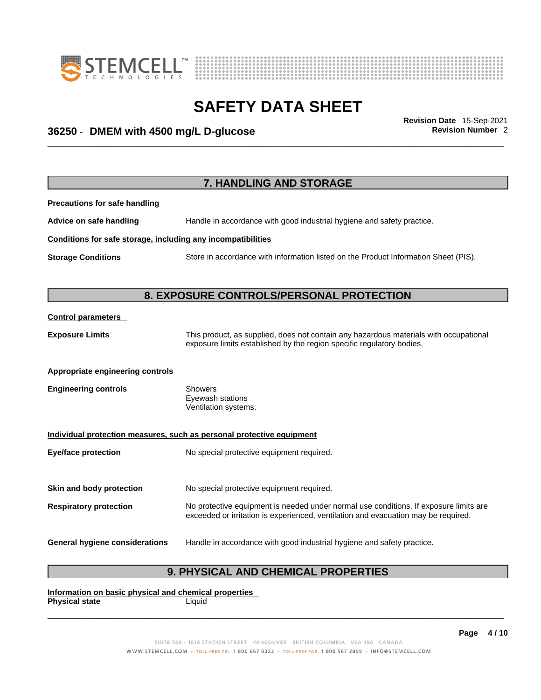



## \_\_\_\_\_\_\_\_\_\_\_\_\_\_\_\_\_\_\_\_\_\_\_\_\_\_\_\_\_\_\_\_\_\_\_\_\_\_\_\_\_\_\_\_\_\_\_\_\_\_\_\_\_\_\_\_\_\_\_\_\_\_\_\_\_\_\_\_\_\_\_\_\_\_\_\_\_\_\_\_\_\_\_\_\_\_\_\_\_\_\_\_\_ **Revision Date** 15-Sep-2021 **36250** - **DMEM with 4500 mg/L D-glucose Revision Number** 2

|                                                              | 7. HANDLING AND STORAGE                                                                                                                                                     |
|--------------------------------------------------------------|-----------------------------------------------------------------------------------------------------------------------------------------------------------------------------|
| <b>Precautions for safe handling</b>                         |                                                                                                                                                                             |
| Advice on safe handling                                      | Handle in accordance with good industrial hygiene and safety practice.                                                                                                      |
| Conditions for safe storage, including any incompatibilities |                                                                                                                                                                             |
| <b>Storage Conditions</b>                                    | Store in accordance with information listed on the Product Information Sheet (PIS).                                                                                         |
|                                                              |                                                                                                                                                                             |
|                                                              | 8. EXPOSURE CONTROLS/PERSONAL PROTECTION                                                                                                                                    |
| <b>Control parameters</b>                                    |                                                                                                                                                                             |
| <b>Exposure Limits</b>                                       | This product, as supplied, does not contain any hazardous materials with occupational<br>exposure limits established by the region specific regulatory bodies.              |
| <b>Appropriate engineering controls</b>                      |                                                                                                                                                                             |
| <b>Engineering controls</b>                                  | <b>Showers</b><br>Eyewash stations<br>Ventilation systems.                                                                                                                  |
|                                                              | Individual protection measures, such as personal protective equipment                                                                                                       |
| <b>Eye/face protection</b>                                   | No special protective equipment required.                                                                                                                                   |
| Skin and body protection                                     | No special protective equipment required.                                                                                                                                   |
| <b>Respiratory protection</b>                                | No protective equipment is needed under normal use conditions. If exposure limits are<br>exceeded or irritation is experienced, ventilation and evacuation may be required. |
| <b>General hygiene considerations</b>                        | Handle in accordance with good industrial hygiene and safety practice.                                                                                                      |

### **9. PHYSICAL AND CHEMICAL PROPERTIES**

**Information on basic physical and chemical properties Physical state** Liquid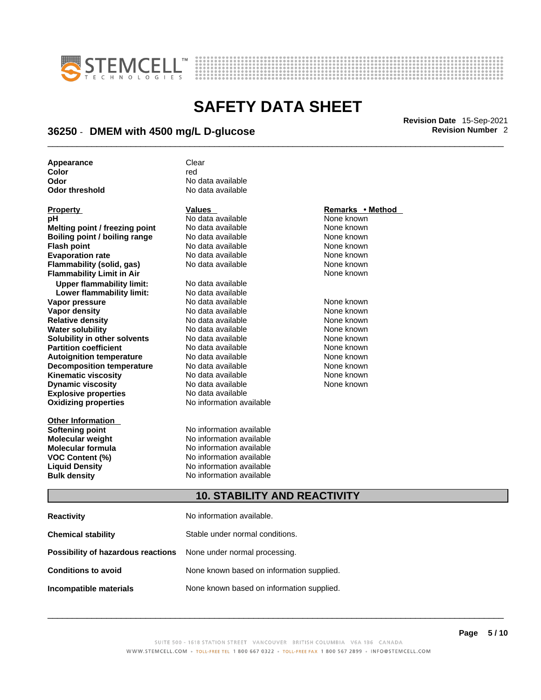



## \_\_\_\_\_\_\_\_\_\_\_\_\_\_\_\_\_\_\_\_\_\_\_\_\_\_\_\_\_\_\_\_\_\_\_\_\_\_\_\_\_\_\_\_\_\_\_\_\_\_\_\_\_\_\_\_\_\_\_\_\_\_\_\_\_\_\_\_\_\_\_\_\_\_\_\_\_\_\_\_\_\_\_\_\_\_\_\_\_\_\_\_\_ **Revision Date** 15-Sep-2021 **36250** - **DMEM with 4500 mg/L D-glucose Revision Number** 2

| Appearance     | Clear             |
|----------------|-------------------|
| Color          | red               |
| Odor           | No data available |
| Odor threshold | No data available |

| <u>Property</u>                      |
|--------------------------------------|
| рH                                   |
| Melting point / freezing point       |
| <b>Boiling point / boiling range</b> |
| <b>Flash point</b>                   |
| <b>Evaporation rate</b>              |
| Flammability (solid, gas)            |
| <b>Flammability Limit in Air</b>     |
| <b>Upper flammability limit:</b>     |
| Lower flammability limit:            |
| Vapor pressure                       |
| Vapor density                        |
| <b>Relative density</b>              |
| <b>Water solubility</b>              |
| Solubility in other solvents         |
| <b>Partition coefficient</b>         |
| <b>Autoignition temperature</b>      |
| <b>Decomposition temperature</b>     |
| <b>Kinematic viscosity</b>           |
| <b>Dynamic viscosity</b>             |
| <b>Explosive properties</b>          |
| <b>Oxidizing properties</b>          |
|                                      |

**Other Information** 

**Odor** No data available **No data available** 

**PH ANO data available None known**<br>
No data available None known **Moltinga and** *Melting* **and the Mone known<br>
<b>Molting** None known<br>
None known **Roidata available 1999 Mone known**<br> **Boiling** None known<br> **Roidata available None known No data available Evaporation No data available None known**<br> **Evaporation** None known<br>
None known **No data available** 

**Explosive properties** No data available **Oxidizing properties** No information available **No data available Lower flammability limit:** No data available **Vapora Available None known No data available None known None known None known None known None known None known Vapor density in the UP of the Vapor Value Available None known<br>No data available None known No data available No data available None known Solution Islam in Solution None known** None known **Partition Partition Coefficient Coefficient Coefficient Coefficient Coefficient Coefficient Coefficient Coefficient Coefficient Coefficient Coefficient Coefficient Coefficient Coefficient C Automische Munder None known**<br> **Automische None known**<br> **Automische None known No data available** No data available **None known** No data available None known

**Softening point**<br> **Molecular weight**<br> **Molecular weight**<br> **Molecular weight**<br> **Molecular weight No information available Molecular formula** No information available **VOC Content (%)**<br>
Liquid Density<br>
No information available<br>
No information available **No information available Bulk density No information available** 

### **Property Values Remarks • Method**

**Flammability Limit in Air** None known

### **10. STABILITY AND REACTIVITY**

| <b>Reactivity</b>                                                       | No information available.                 |
|-------------------------------------------------------------------------|-------------------------------------------|
| <b>Chemical stability</b>                                               | Stable under normal conditions.           |
| <b>Possibility of hazardous reactions</b> None under normal processing. |                                           |
| <b>Conditions to avoid</b>                                              | None known based on information supplied. |
| Incompatible materials                                                  | None known based on information supplied. |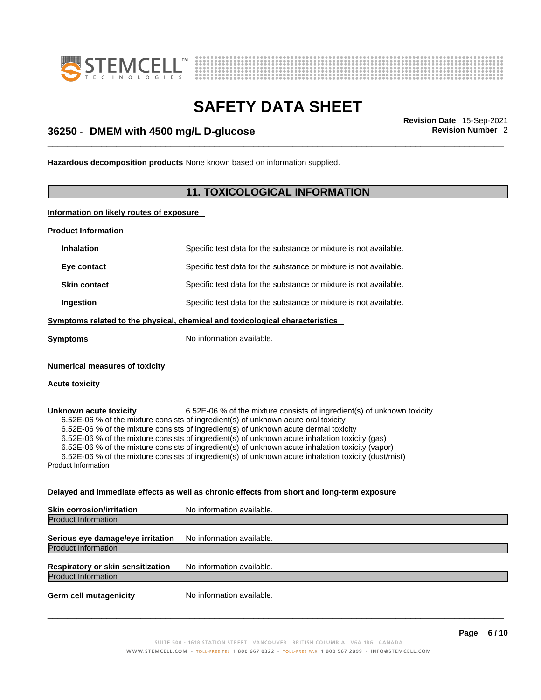



## \_\_\_\_\_\_\_\_\_\_\_\_\_\_\_\_\_\_\_\_\_\_\_\_\_\_\_\_\_\_\_\_\_\_\_\_\_\_\_\_\_\_\_\_\_\_\_\_\_\_\_\_\_\_\_\_\_\_\_\_\_\_\_\_\_\_\_\_\_\_\_\_\_\_\_\_\_\_\_\_\_\_\_\_\_\_\_\_\_\_\_\_\_ **Revision Date** 15-Sep-2021 **36250** - **DMEM with 4500 mg/L D-glucose Revision Number** 2

**Hazardous decomposition products** None known based on information supplied.

### **11. TOXICOLOGICAL INFORMATION**

**Information on likely routes of exposure**

**Product Information**

Product Information

| <b>Inhalation</b>                                                            | Specific test data for the substance or mixture is not available.                                                                                                                                                                                                                                                                                                                                                                                                                                                                                                   |  |
|------------------------------------------------------------------------------|---------------------------------------------------------------------------------------------------------------------------------------------------------------------------------------------------------------------------------------------------------------------------------------------------------------------------------------------------------------------------------------------------------------------------------------------------------------------------------------------------------------------------------------------------------------------|--|
| Eye contact                                                                  | Specific test data for the substance or mixture is not available.                                                                                                                                                                                                                                                                                                                                                                                                                                                                                                   |  |
| <b>Skin contact</b>                                                          | Specific test data for the substance or mixture is not available.                                                                                                                                                                                                                                                                                                                                                                                                                                                                                                   |  |
| Ingestion                                                                    | Specific test data for the substance or mixture is not available.                                                                                                                                                                                                                                                                                                                                                                                                                                                                                                   |  |
| Symptoms related to the physical, chemical and toxicological characteristics |                                                                                                                                                                                                                                                                                                                                                                                                                                                                                                                                                                     |  |
| <b>Symptoms</b>                                                              | No information available.                                                                                                                                                                                                                                                                                                                                                                                                                                                                                                                                           |  |
| <b>Numerical measures of toxicity</b>                                        |                                                                                                                                                                                                                                                                                                                                                                                                                                                                                                                                                                     |  |
| <b>Acute toxicity</b>                                                        |                                                                                                                                                                                                                                                                                                                                                                                                                                                                                                                                                                     |  |
| Unknown acute toxicity                                                       | 6.52E-06 % of the mixture consists of ingredient(s) of unknown toxicity<br>6.52E-06 % of the mixture consists of ingredient(s) of unknown acute oral toxicity<br>6.52E-06 % of the mixture consists of ingredient(s) of unknown acute dermal toxicity<br>6.52E-06 % of the mixture consists of ingredient(s) of unknown acute inhalation toxicity (gas)<br>6.52E-06 % of the mixture consists of ingredient(s) of unknown acute inhalation toxicity (vapor)<br>6.52E-06 % of the mixture consists of ingredient(s) of unknown acute inhalation toxicity (dust/mist) |  |

### **Delayed and immediate effects as well as chronic effects from short and long-term exposure**

| No information available. |
|---------------------------|
|                           |
| No information available. |
|                           |
| No information available. |
|                           |
| No information available. |
|                           |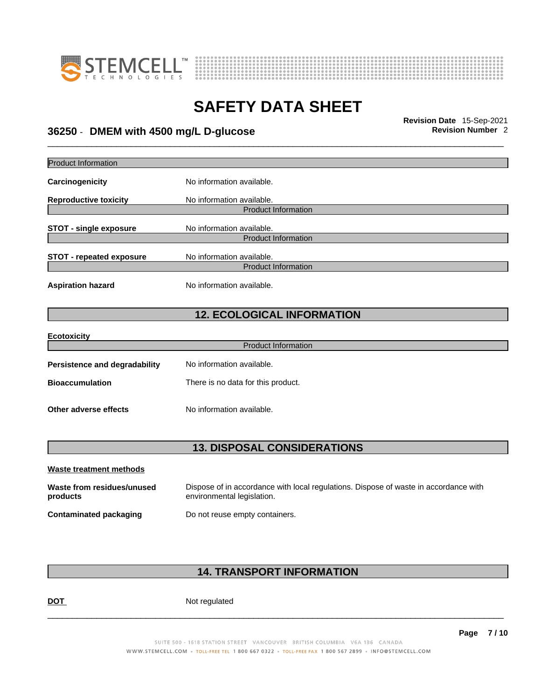



\_\_\_\_\_\_\_\_\_\_\_\_\_\_\_\_\_\_\_\_\_\_\_\_\_\_\_\_\_\_\_\_\_\_\_\_\_\_\_\_\_\_\_\_\_\_\_\_\_\_\_\_\_\_\_\_\_\_\_\_\_\_\_\_\_\_\_\_\_\_\_\_\_\_\_\_\_\_\_\_\_\_\_\_\_\_\_\_\_\_\_\_\_ **Revision Date** 15-Sep-2021 **36250** - **DMEM with 4500 mg/L D-glucose Revision Number** 2

Product Information **Carcinogenicity** No information available. **Reproductive toxicity** No information available. Product Information **STOT** - single exposure<br>
No information available. Product Information **STOT** - **repeated exposure** No information available. Product Information **Aspiration hazard** No information available. **12. ECOLOGICAL INFORMATION Ecotoxicity**  Product Information **Persistence and degradability** No information available. **Bioaccumulation** There is no data for this product. **Other adverse effects** No information available. **13. DISPOSAL CONSIDERATIONS** 

| Waste treatment methods                |                                                                                                                    |
|----------------------------------------|--------------------------------------------------------------------------------------------------------------------|
| Waste from residues/unused<br>products | Dispose of in accordance with local regulations. Dispose of waste in accordance with<br>environmental legislation. |
| <b>Contaminated packaging</b>          | Do not reuse empty containers.                                                                                     |

### **14. TRANSPORT INFORMATION**

**DOT** Not regulated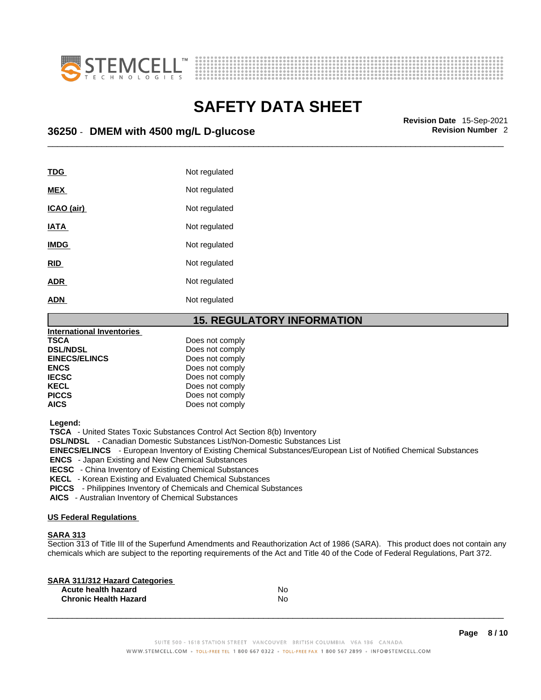



\_\_\_\_\_\_\_\_\_\_\_\_\_\_\_\_\_\_\_\_\_\_\_\_\_\_\_\_\_\_\_\_\_\_\_\_\_\_\_\_\_\_\_\_\_\_\_\_\_\_\_\_\_\_\_\_\_\_\_\_\_\_\_\_\_\_\_\_\_\_\_\_\_\_\_\_\_\_\_\_\_\_\_\_\_\_\_\_\_\_\_\_\_ **Revision Date** 15-Sep-2021 **36250** - **DMEM with 4500 mg/L D-glucose Revision Number** 2

| TDG         | Not regulated |
|-------------|---------------|
| <b>MEX</b>  | Not regulated |
| ICAO (air)  | Not regulated |
| <b>IATA</b> | Not regulated |
| <b>IMDG</b> | Not regulated |
| <b>RID</b>  | Not regulated |
| <b>ADR</b>  | Not regulated |
| <b>ADN</b>  | Not regulated |
|             |               |

### **15. REGULATORY INFORMATION**

| <b>International Inventories</b> |                 |  |
|----------------------------------|-----------------|--|
| <b>TSCA</b>                      | Does not comply |  |
| <b>DSL/NDSL</b>                  | Does not comply |  |
| <b>EINECS/ELINCS</b>             | Does not comply |  |
| <b>ENCS</b>                      | Does not comply |  |
| <b>IECSC</b>                     | Does not comply |  |
| <b>KECL</b>                      | Does not comply |  |
| <b>PICCS</b>                     | Does not comply |  |
| <b>AICS</b>                      | Does not comply |  |
|                                  |                 |  |

 **Legend:** 

 **TSCA** - United States Toxic Substances Control Act Section 8(b) Inventory

 **DSL/NDSL** - Canadian Domestic Substances List/Non-Domestic Substances List

 **EINECS/ELINCS** - European Inventory of Existing Chemical Substances/European List of Notified Chemical Substances

 **ENCS** - Japan Existing and New Chemical Substances

 **IECSC** - China Inventory of Existing Chemical Substances

 **KECL** - Korean Existing and Evaluated Chemical Substances

 **PICCS** - Philippines Inventory of Chemicals and Chemical Substances

 **AICS** - Australian Inventory of Chemical Substances

### **US Federal Regulations**

### **SARA 313**

Section 313 of Title III of the Superfund Amendments and Reauthorization Act of 1986 (SARA). This product does not contain any chemicals which are subject to the reporting requirements of the Act and Title 40 of the Code of Federal Regulations, Part 372.

| No |  |
|----|--|
| No |  |
|    |  |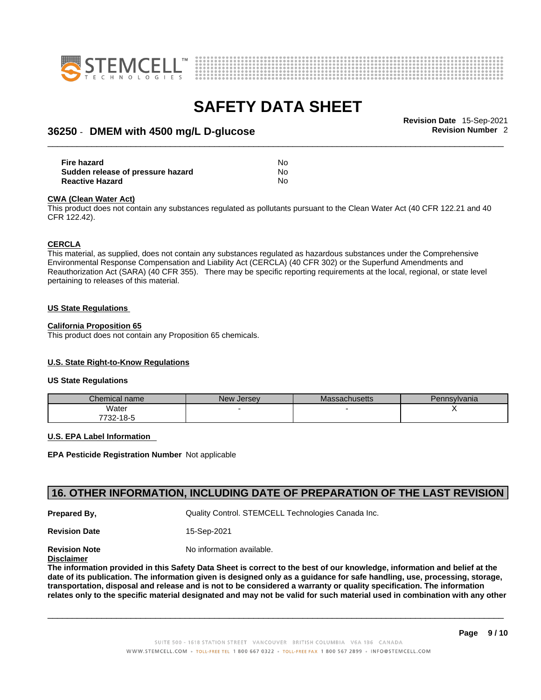



## \_\_\_\_\_\_\_\_\_\_\_\_\_\_\_\_\_\_\_\_\_\_\_\_\_\_\_\_\_\_\_\_\_\_\_\_\_\_\_\_\_\_\_\_\_\_\_\_\_\_\_\_\_\_\_\_\_\_\_\_\_\_\_\_\_\_\_\_\_\_\_\_\_\_\_\_\_\_\_\_\_\_\_\_\_\_\_\_\_\_\_\_\_ **Revision Date** 15-Sep-2021 **36250** - **DMEM with 4500 mg/L D-glucose Revision Number** 2

| Fire hazard                       | No |  |
|-----------------------------------|----|--|
| Sudden release of pressure hazard | No |  |
| <b>Reactive Hazard</b>            | No |  |

#### **CWA** (Clean Water Act)

This product does not contain any substances regulated as pollutants pursuant to the Clean Water Act (40 CFR 122.21 and 40 CFR 122.42).

#### **CERCLA**

This material, as supplied, does not contain any substances regulated as hazardous substances under the Comprehensive Environmental Response Compensation and Liability Act (CERCLA) (40 CFR 302) or the Superfund Amendments and Reauthorization Act (SARA) (40 CFR 355). There may be specific reporting requirements at the local, regional, or state level pertaining to releases of this material.

#### **US State Regulations**

#### **California Proposition 65**

This product does not contain any Proposition 65 chemicals.

### **U.S. State Right-to-Know Regulations**

#### **US State Regulations**

| Chemical name | <b>New Jersey</b> | <b>Massachusetts</b> | Pennsylvania |
|---------------|-------------------|----------------------|--------------|
| Water         |                   |                      |              |
| 7732-18-5     |                   |                      |              |

#### **U.S. EPA Label Information**

**EPA Pesticide Registration Number** Not applicable

### **16. OTHER INFORMATION, INCLUDING DATE OF PREPARATION OF THE LAST REVISION**

**Prepared By, State Control. STEMCELL Technologies Canada Inc.** Cuality Control. STEMCELL Technologies Canada Inc.

**Revision Date** 15-Sep-2021

**Revision Note** Noinformation available.

**Disclaimer**

The information provided in this Safety Data Sheet is correct to the best of our knowledge, information and belief at the date of its publication. The information given is designed only as a guidance for safe handling, use, processing, storage, transportation, disposal and release and is not to be considered a warranty or quality specification. The information relates only to the specific material designated and may not be valid for such material used in combination with any other